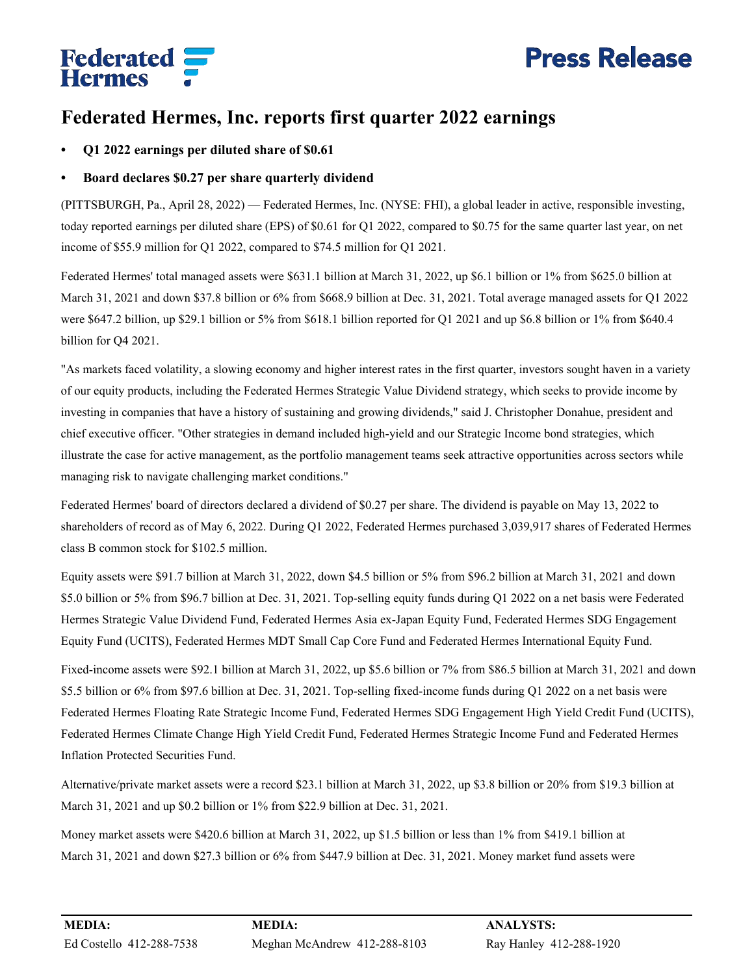# **Press Release**

# **Federated**<br>Hermes

# **Federated Hermes, Inc. reports first quarter 2022 earnings**

**• Q1 2022 earnings per diluted share of \$0.61**

# **• Board declares \$0.27 per share quarterly dividend**

(PITTSBURGH, Pa., April 28, 2022) — Federated Hermes, Inc. (NYSE: FHI), a global leader in active, responsible investing, today reported earnings per diluted share (EPS) of \$0.61 for Q1 2022, compared to \$0.75 for the same quarter last year, on net income of \$55.9 million for Q1 2022, compared to \$74.5 million for Q1 2021.

Federated Hermes' total managed assets were \$631.1 billion at March 31, 2022, up \$6.1 billion or 1% from \$625.0 billion at March 31, 2021 and down \$37.8 billion or 6% from \$668.9 billion at Dec. 31, 2021. Total average managed assets for Q1 2022 were \$647.2 billion, up \$29.1 billion or 5% from \$618.1 billion reported for Q1 2021 and up \$6.8 billion or 1% from \$640.4 billion for Q4 2021.

"As markets faced volatility, a slowing economy and higher interest rates in the first quarter, investors sought haven in a variety of our equity products, including the Federated Hermes Strategic Value Dividend strategy, which seeks to provide income by investing in companies that have a history of sustaining and growing dividends," said J. Christopher Donahue, president and chief executive officer. "Other strategies in demand included high-yield and our Strategic Income bond strategies, which illustrate the case for active management, as the portfolio management teams seek attractive opportunities across sectors while managing risk to navigate challenging market conditions."

Federated Hermes' board of directors declared a dividend of \$0.27 per share. The dividend is payable on May 13, 2022 to shareholders of record as of May 6, 2022. During Q1 2022, Federated Hermes purchased 3,039,917 shares of Federated Hermes class B common stock for \$102.5 million.

Equity assets were \$91.7 billion at March 31, 2022, down \$4.5 billion or 5% from \$96.2 billion at March 31, 2021 and down \$5.0 billion or 5% from \$96.7 billion at Dec. 31, 2021. Top-selling equity funds during Q1 2022 on a net basis were Federated Hermes Strategic Value Dividend Fund, Federated Hermes Asia ex-Japan Equity Fund, Federated Hermes SDG Engagement Equity Fund (UCITS), Federated Hermes MDT Small Cap Core Fund and Federated Hermes International Equity Fund.

Fixed-income assets were \$92.1 billion at March 31, 2022, up \$5.6 billion or 7% from \$86.5 billion at March 31, 2021 and down \$5.5 billion or 6% from \$97.6 billion at Dec. 31, 2021. Top-selling fixed-income funds during Q1 2022 on a net basis were Federated Hermes Floating Rate Strategic Income Fund, Federated Hermes SDG Engagement High Yield Credit Fund (UCITS), Federated Hermes Climate Change High Yield Credit Fund, Federated Hermes Strategic Income Fund and Federated Hermes Inflation Protected Securities Fund.

Alternative/private market assets were a record \$23.1 billion at March 31, 2022, up \$3.8 billion or 20% from \$19.3 billion at March 31, 2021 and up \$0.2 billion or 1% from \$22.9 billion at Dec. 31, 2021.

Money market assets were \$420.6 billion at March 31, 2022, up \$1.5 billion or less than 1% from \$419.1 billion at March 31, 2021 and down \$27.3 billion or 6% from \$447.9 billion at Dec. 31, 2021. Money market fund assets were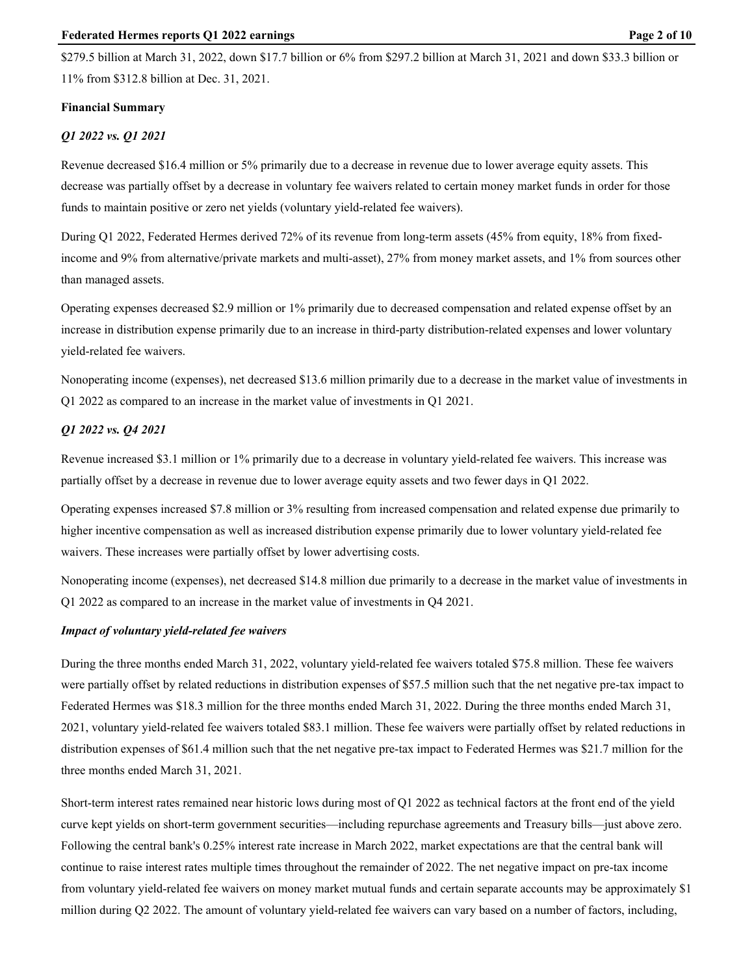### **Financial Summary**

# *Q1 2022 vs. Q1 2021*

Revenue decreased \$16.4 million or 5% primarily due to a decrease in revenue due to lower average equity assets. This decrease was partially offset by a decrease in voluntary fee waivers related to certain money market funds in order for those funds to maintain positive or zero net yields (voluntary yield-related fee waivers).

During Q1 2022, Federated Hermes derived 72% of its revenue from long-term assets (45% from equity, 18% from fixedincome and 9% from alternative/private markets and multi-asset), 27% from money market assets, and 1% from sources other than managed assets.

Operating expenses decreased \$2.9 million or 1% primarily due to decreased compensation and related expense offset by an increase in distribution expense primarily due to an increase in third-party distribution-related expenses and lower voluntary yield-related fee waivers.

Nonoperating income (expenses), net decreased \$13.6 million primarily due to a decrease in the market value of investments in Q1 2022 as compared to an increase in the market value of investments in Q1 2021.

# *Q1 2022 vs. Q4 2021*

Revenue increased \$3.1 million or 1% primarily due to a decrease in voluntary yield-related fee waivers. This increase was partially offset by a decrease in revenue due to lower average equity assets and two fewer days in Q1 2022.

Operating expenses increased \$7.8 million or 3% resulting from increased compensation and related expense due primarily to higher incentive compensation as well as increased distribution expense primarily due to lower voluntary yield-related fee waivers. These increases were partially offset by lower advertising costs.

Nonoperating income (expenses), net decreased \$14.8 million due primarily to a decrease in the market value of investments in Q1 2022 as compared to an increase in the market value of investments in Q4 2021.

# *Impact of voluntary yield-related fee waivers*

During the three months ended March 31, 2022, voluntary yield-related fee waivers totaled \$75.8 million. These fee waivers were partially offset by related reductions in distribution expenses of \$57.5 million such that the net negative pre-tax impact to Federated Hermes was \$18.3 million for the three months ended March 31, 2022. During the three months ended March 31, 2021, voluntary yield-related fee waivers totaled \$83.1 million. These fee waivers were partially offset by related reductions in distribution expenses of \$61.4 million such that the net negative pre-tax impact to Federated Hermes was \$21.7 million for the three months ended March 31, 2021.

Short-term interest rates remained near historic lows during most of Q1 2022 as technical factors at the front end of the yield curve kept yields on short-term government securities—including repurchase agreements and Treasury bills—just above zero. Following the central bank's 0.25% interest rate increase in March 2022, market expectations are that the central bank will continue to raise interest rates multiple times throughout the remainder of 2022. The net negative impact on pre-tax income from voluntary yield-related fee waivers on money market mutual funds and certain separate accounts may be approximately \$1 million during Q2 2022. The amount of voluntary yield-related fee waivers can vary based on a number of factors, including,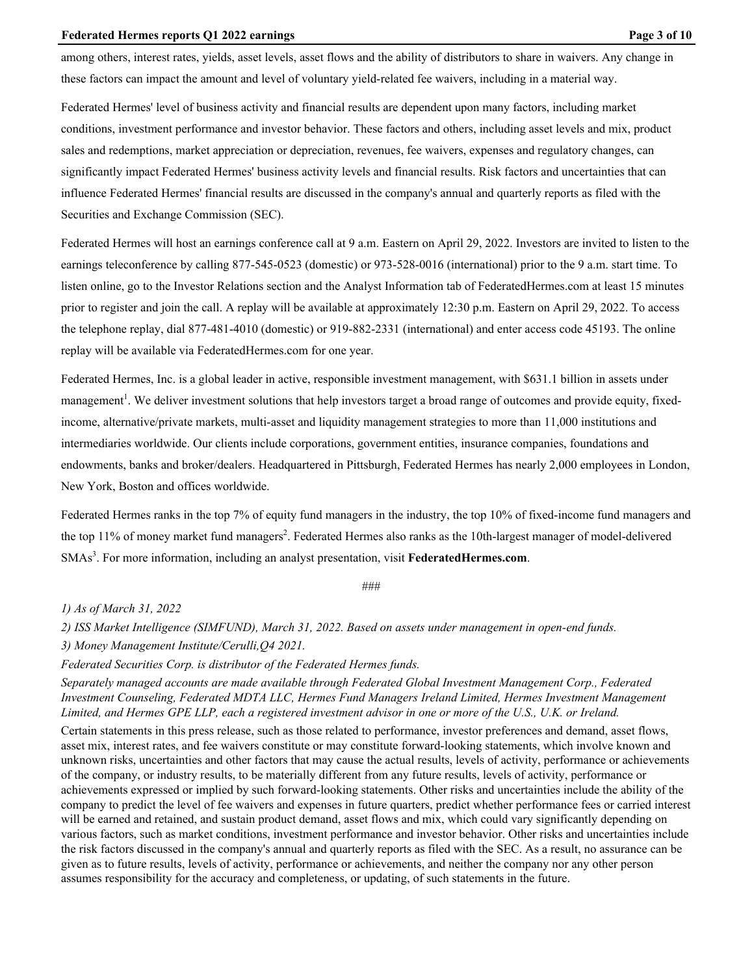#### **Federated Hermes reports Q1 2022 earnings Page 3 of 10** Page 3 of 10

among others, interest rates, yields, asset levels, asset flows and the ability of distributors to share in waivers. Any change in these factors can impact the amount and level of voluntary yield-related fee waivers, including in a material way.

Federated Hermes' level of business activity and financial results are dependent upon many factors, including market conditions, investment performance and investor behavior. These factors and others, including asset levels and mix, product sales and redemptions, market appreciation or depreciation, revenues, fee waivers, expenses and regulatory changes, can significantly impact Federated Hermes' business activity levels and financial results. Risk factors and uncertainties that can influence Federated Hermes' financial results are discussed in the company's annual and quarterly reports as filed with the Securities and Exchange Commission (SEC).

Federated Hermes will host an earnings conference call at 9 a.m. Eastern on April 29, 2022. Investors are invited to listen to the earnings teleconference by calling 877-545-0523 (domestic) or 973-528-0016 (international) prior to the 9 a.m. start time. To listen online, go to the Investor Relations section and the Analyst Information tab of [FederatedHermes.com](https://www.federatedhermes.com) at least 15 minutes prior to register and join the call. A replay will be available at approximately 12:30 p.m. Eastern on April 29, 2022. To access the telephone replay, dial 877-481-4010 (domestic) or 919-882-2331 (international) and enter access code 45193. The online replay will be available via [FederatedHermes.com](https://www.federatedhermes.com) for one year.

Federated Hermes, Inc. is a global leader in active, responsible investment management, with \$631.1 billion in assets under management<sup>1</sup>. We deliver investment solutions that help investors target a broad range of outcomes and provide equity, fixedincome, alternative/private markets, multi-asset and liquidity management strategies to more than 11,000 institutions and intermediaries worldwide. Our clients include corporations, government entities, insurance companies, foundations and endowments, banks and broker/dealers. Headquartered in Pittsburgh, Federated Hermes has nearly 2,000 employees in London, New York, Boston and offices worldwide.

Federated Hermes ranks in the top 7% of equity fund managers in the industry, the top 10% of fixed-income fund managers and the top 11% of money market fund managers<sup>2</sup>. Federated Hermes also ranks as the 10th-largest manager of model-delivered SMAs<sup>3</sup>. For more information, including an analyst presentation, visit [FederatedHermes.com](https://www.federatedhermes.com).

###

*1) As of March 31, 2022*

*2) ISS Market Intelligence (SIMFUND), March 31, 2022. Based on assets under management in open-end funds.* 

*3) Money Management Institute/Cerulli,Q4 2021.*

*Federated Securities Corp. is distributor of the Federated Hermes funds.*

Separately managed accounts are made available through Federated Global Investment Management Corp., Federated *Investment Counseling, Federated MDTA LLC, Hermes Fund Managers Ireland Limited, Hermes Investment Management Limited, and Hermes GPE LLP, each a registered investment advisor in one or more of the U.S., U.K. or Ireland.*

Certain statements in this press release, such as those related to performance, investor preferences and demand, asset flows, asset mix, interest rates, and fee waivers constitute or may constitute forward-looking statements, which involve known and unknown risks, uncertainties and other factors that may cause the actual results, levels of activity, performance or achievements of the company, or industry results, to be materially different from any future results, levels of activity, performance or achievements expressed or implied by such forward-looking statements. Other risks and uncertainties include the ability of the company to predict the level of fee waivers and expenses in future quarters, predict whether performance fees or carried interest will be earned and retained, and sustain product demand, asset flows and mix, which could vary significantly depending on various factors, such as market conditions, investment performance and investor behavior. Other risks and uncertainties include the risk factors discussed in the company's annual and quarterly reports as filed with the SEC. As a result, no assurance can be given as to future results, levels of activity, performance or achievements, and neither the company nor any other person assumes responsibility for the accuracy and completeness, or updating, of such statements in the future.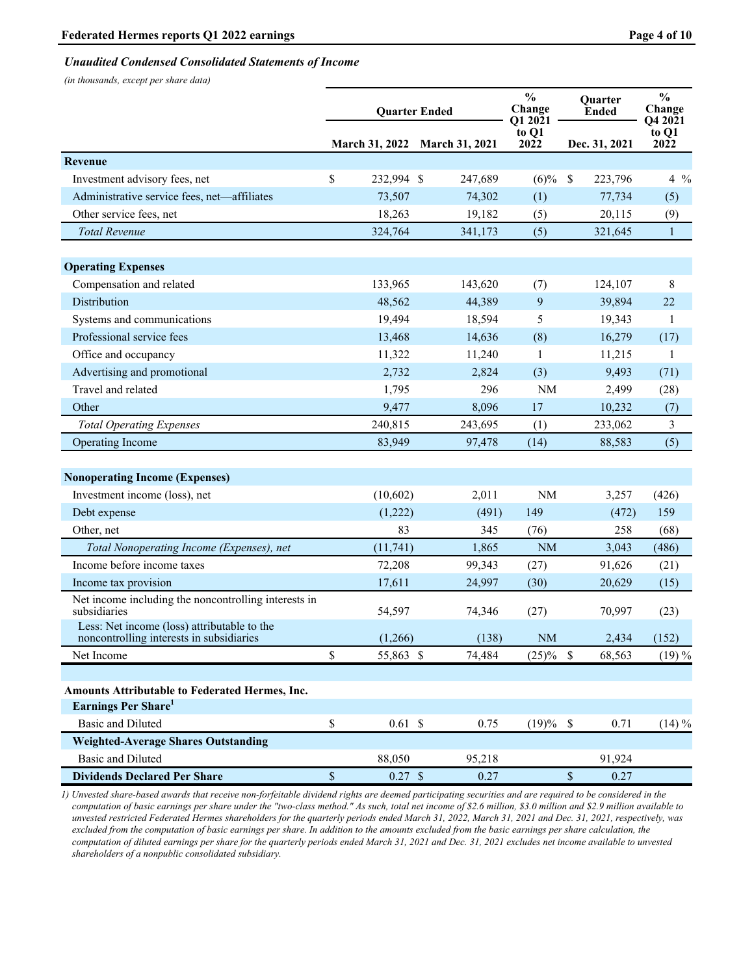## *Unaudited Condensed Consolidated Statements of Income*

*(in thousands, except per share data)*

|                                                                                         |             | <b>Quarter Ended</b>          |                 | $\frac{1}{2}$<br>Change<br>O1 2021 |                           | <b>Ouarter</b><br><b>Ended</b> | $\frac{0}{0}$<br>Change<br>Q4 2021 |  |
|-----------------------------------------------------------------------------------------|-------------|-------------------------------|-----------------|------------------------------------|---------------------------|--------------------------------|------------------------------------|--|
|                                                                                         |             | March 31, 2022 March 31, 2021 |                 | to Q1<br>2022                      |                           | Dec. 31, 2021                  | to Q1<br>2022                      |  |
| <b>Revenue</b>                                                                          |             |                               |                 |                                    |                           |                                |                                    |  |
| Investment advisory fees, net                                                           | \$          | 232,994 \$                    | 247,689         | $(6)\%$                            | $\boldsymbol{\mathsf{S}}$ | 223,796                        | $4\frac{9}{6}$                     |  |
| Administrative service fees, net-affiliates                                             |             | 73,507                        | 74,302          | (1)                                |                           | 77,734                         | (5)                                |  |
| Other service fees, net                                                                 |             | 18,263                        | 19,182          | (5)                                |                           | 20,115                         | (9)                                |  |
| <b>Total Revenue</b>                                                                    |             | 324,764                       | 341,173         | (5)                                |                           | 321,645                        | $\mathbf{1}$                       |  |
|                                                                                         |             |                               |                 |                                    |                           |                                |                                    |  |
| <b>Operating Expenses</b>                                                               |             |                               |                 |                                    |                           |                                |                                    |  |
| Compensation and related<br>Distribution                                                |             | 133,965                       | 143,620         | (7)                                |                           | 124,107                        | 8                                  |  |
|                                                                                         |             | 48,562<br>19,494              | 44,389          | 9<br>5                             |                           | 39,894                         | 22                                 |  |
| Systems and communications<br>Professional service fees                                 |             |                               | 18,594          |                                    |                           | 19,343                         | -1                                 |  |
| Office and occupancy                                                                    |             | 13,468                        | 14,636          | (8)                                |                           | 16,279                         | (17)<br>$\mathbf{1}$               |  |
| Advertising and promotional                                                             |             | 11,322<br>2,732               | 11,240<br>2,824 | 1<br>(3)                           |                           | 11,215<br>9,493                | (71)                               |  |
| Travel and related                                                                      |             | 1,795                         | 296             | NM                                 |                           | 2,499                          | (28)                               |  |
| Other                                                                                   |             | 9,477                         | 8,096           | 17                                 |                           | 10,232                         | (7)                                |  |
| <b>Total Operating Expenses</b>                                                         |             | 240,815                       | 243,695         | (1)                                |                           | 233,062                        | $\mathfrak{Z}$                     |  |
| Operating Income                                                                        |             | 83,949                        | 97,478          | (14)                               |                           | 88,583                         | (5)                                |  |
|                                                                                         |             |                               |                 |                                    |                           |                                |                                    |  |
| <b>Nonoperating Income (Expenses)</b>                                                   |             |                               |                 |                                    |                           |                                |                                    |  |
| Investment income (loss), net                                                           |             | (10,602)                      | 2,011           | $\rm NM$                           |                           | 3,257                          | (426)                              |  |
| Debt expense                                                                            |             | (1,222)                       | (491)           | 149                                |                           | (472)                          | 159                                |  |
| Other, net                                                                              |             | 83                            | 345             | (76)                               |                           | 258                            | (68)                               |  |
| Total Nonoperating Income (Expenses), net                                               |             | (11, 741)                     | 1,865           | <b>NM</b>                          |                           | 3,043                          | (486)                              |  |
| Income before income taxes                                                              |             | 72,208                        | 99,343          | (27)                               |                           | 91,626                         | (21)                               |  |
| Income tax provision                                                                    |             | 17,611                        | 24,997          | (30)                               |                           | 20,629                         | (15)                               |  |
| Net income including the noncontrolling interests in<br>subsidiaries                    |             | 54,597                        | 74,346          | (27)                               |                           | 70,997                         | (23)                               |  |
| Less: Net income (loss) attributable to the<br>noncontrolling interests in subsidiaries |             | (1,266)                       | (138)           | <b>NM</b>                          |                           | 2.434                          | (152)                              |  |
| Net Income                                                                              | \$          | 55,863 \$                     | 74,484          | $(25)\%$ \$                        |                           | 68,563                         | $(19)\%$                           |  |
|                                                                                         |             |                               |                 |                                    |                           |                                |                                    |  |
| Amounts Attributable to Federated Hermes, Inc.                                          |             |                               |                 |                                    |                           |                                |                                    |  |
| Earnings Per Share <sup>1</sup>                                                         |             |                               |                 |                                    |                           |                                |                                    |  |
| <b>Basic and Diluted</b>                                                                | $\mathbb S$ | $0.61$ \$                     | 0.75            | $(19)%$ \$                         |                           | 0.71                           | $(14) \%$                          |  |
| <b>Weighted-Average Shares Outstanding</b>                                              |             |                               |                 |                                    |                           |                                |                                    |  |
| <b>Basic and Diluted</b>                                                                |             | 88,050                        | 95,218          |                                    |                           | 91,924                         |                                    |  |
| <b>Dividends Declared Per Share</b>                                                     | $\mathbb S$ | $0.27$ \$                     | 0.27            |                                    | $\mathbb{S}$              | 0.27                           |                                    |  |

*1) Unvested share-based awards that receive non-forfeitable dividend rights are deemed participating securities and are required to be considered in the computation of basic earnings per share under the "two-class method." As such, total net income of \$2.6 million, \$3.0 million and \$2.9 million available to unvested restricted Federated Hermes shareholders for the quarterly periods ended March 31, 2022, March 31, 2021 and Dec. 31, 2021, respectively, was excluded from the computation of basic earnings per share. In addition to the amounts excluded from the basic earnings per share calculation, the computation of diluted earnings per share for the quarterly periods ended March 31, 2021 and Dec. 31, 2021 excludes net income available to unvested shareholders of a nonpublic consolidated subsidiary.*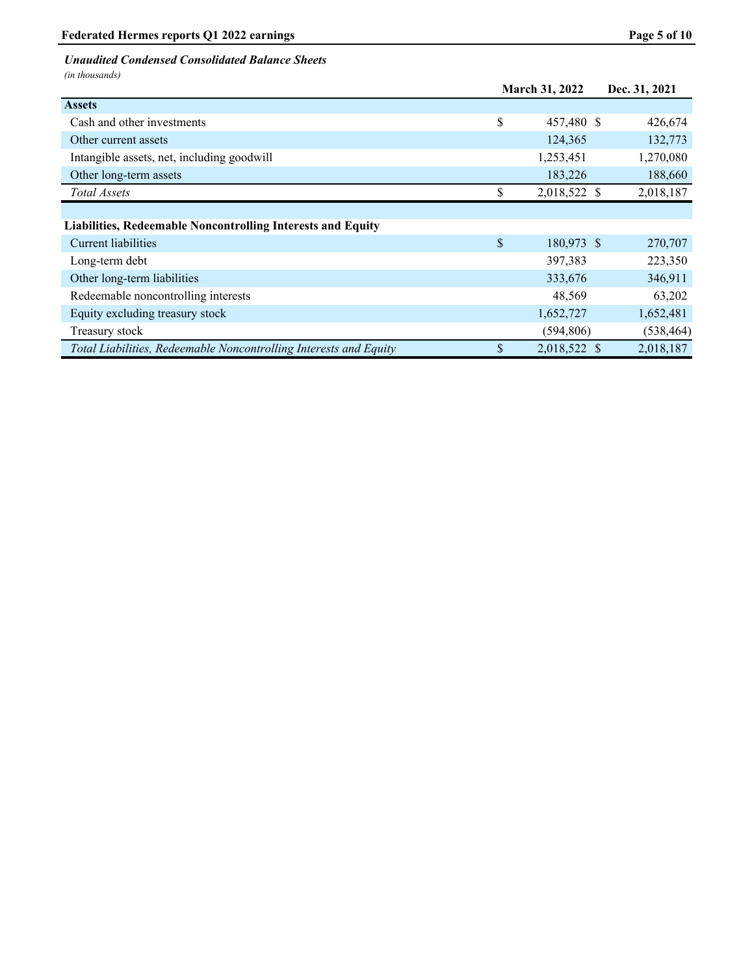# *Unaudited Condensed Consolidated Balance Sheets*

*(in thousands)*

|                                                                    | March 31, 2022     | Dec. 31, 2021 |
|--------------------------------------------------------------------|--------------------|---------------|
| <b>Assets</b>                                                      |                    |               |
| Cash and other investments                                         | \$<br>457,480 \$   | 426,674       |
| Other current assets                                               | 124,365            | 132,773       |
| Intangible assets, net, including goodwill                         | 1,253,451          | 1,270,080     |
| Other long-term assets                                             | 183,226            | 188,660       |
| Total Assets                                                       | \$<br>2,018,522 \$ | 2,018,187     |
|                                                                    |                    |               |
| <b>Liabilities, Redeemable Noncontrolling Interests and Equity</b> |                    |               |
| <b>Current liabilities</b>                                         | \$<br>180,973 \$   | 270,707       |
| Long-term debt                                                     | 397,383            | 223,350       |
| Other long-term liabilities                                        | 333,676            | 346,911       |
| Redeemable noncontrolling interests                                | 48,569             | 63,202        |
| Equity excluding treasury stock                                    | 1,652,727          | 1,652,481     |
| Treasury stock                                                     | (594, 806)         | (538, 464)    |
| Total Liabilities, Redeemable Noncontrolling Interests and Equity  | \$<br>2,018,522 \$ | 2,018,187     |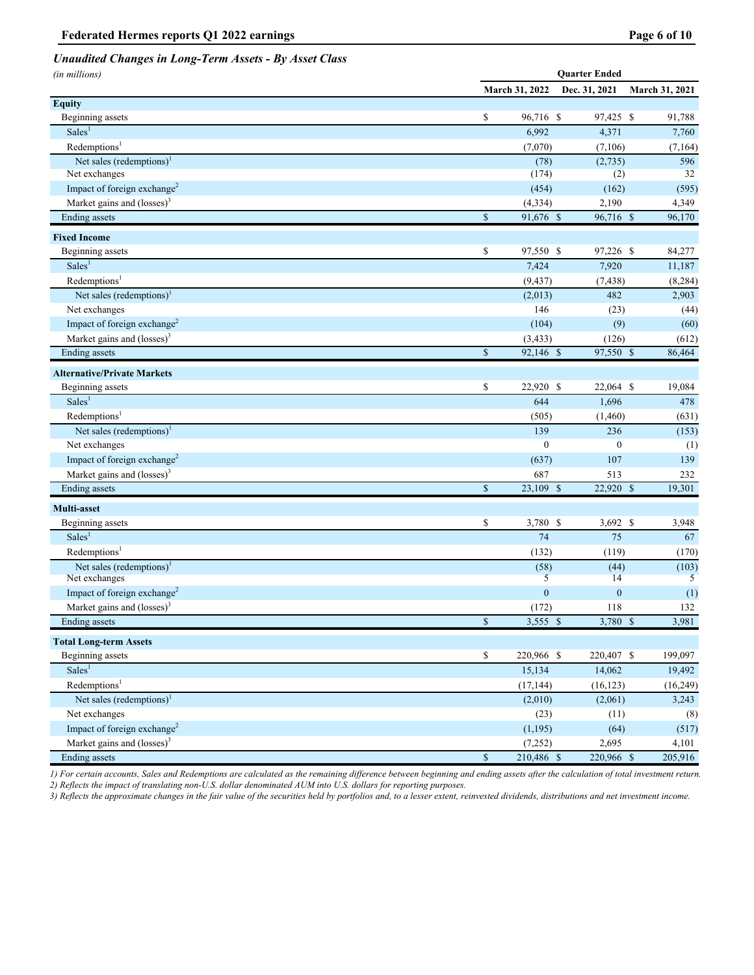# *Unaudited Changes in Long-Term Assets - By Asset Class*

| (in millions)                                     |                         |                      | <b>Quarter Ended</b> |                   |
|---------------------------------------------------|-------------------------|----------------------|----------------------|-------------------|
|                                                   |                         | March 31, 2022       | Dec. 31, 2021        | March 31, 2021    |
| <b>Equity</b>                                     |                         |                      |                      |                   |
| Beginning assets                                  | \$                      | 96,716 \$            | 97,425 \$            | 91,788            |
| Sales <sup>1</sup>                                |                         | 6,992                | 4,371                | 7,760             |
| Redemptions <sup>1</sup>                          |                         | (7,070)              | (7,106)              | (7, 164)          |
| Net sales (redemptions) <sup>1</sup>              |                         | (78)                 | (2,735)              | 596               |
| Net exchanges                                     |                         | (174)                | (2)                  | 32                |
| Impact of foreign exchange <sup>2</sup>           |                         | (454)                | (162)                | (595)             |
| Market gains and $(\text{losses})^3$              |                         | (4, 334)             | 2,190                | 4,349             |
| Ending assets                                     | \$                      | 91,676 \$            | 96,716 \$            | 96,170            |
| <b>Fixed Income</b>                               |                         |                      |                      |                   |
| Beginning assets                                  | \$                      | 97,550 \$            | 97,226 \$            | 84,277            |
| Sales <sup>1</sup>                                |                         | 7,424                | 7,920                | 11,187            |
| Redemptions <sup>1</sup>                          |                         | (9, 437)             | (7, 438)             | (8, 284)          |
| Net sales (redemptions) <sup>1</sup>              |                         | (2,013)              | 482                  | 2,903             |
| Net exchanges                                     |                         | 146                  | (23)                 | (44)              |
| Impact of foreign exchange <sup>2</sup>           |                         | (104)                | (9)                  | (60)              |
| Market gains and $(\text{losses})^3$              |                         | (3, 433)             | (126)                | (612)             |
| <b>Ending</b> assets                              | $\mathbb{S}$            | 92,146 \$            | $97,550$ \$          | 86,464            |
| <b>Alternative/Private Markets</b>                |                         |                      |                      |                   |
| Beginning assets                                  | \$                      | 22,920 \$            | 22,064 \$            | 19,084            |
| Sales <sup>1</sup>                                |                         | 644                  | 1,696                | 478               |
| Redemptions <sup>1</sup>                          |                         | (505)                | (1,460)              | (631)             |
| Net sales (redemptions) $1$                       |                         | 139                  | 236                  | (153)             |
| Net exchanges                                     |                         | $\mathbf{0}$         | $\boldsymbol{0}$     | (1)               |
| Impact of foreign exchange <sup>2</sup>           |                         | (637)                | 107                  | 139               |
| Market gains and $(\text{losses})^3$              |                         | 687                  | 513                  | 232               |
| Ending assets                                     | $\overline{\$}$         | 23,109 \$            | 22,920 \$            | 19,301            |
|                                                   |                         |                      |                      |                   |
| Multi-asset<br>Beginning assets                   | \$                      | 3,780 \$             | $3,692$ \$           |                   |
| Sales <sup>1</sup>                                |                         | 74                   | 75                   | 3,948<br>67       |
| Redemptions <sup>1</sup>                          |                         |                      | (119)                |                   |
| Net sales (redemptions) $1$                       |                         | (132)<br>(58)        | (44)                 | (170)<br>(103)    |
| Net exchanges                                     |                         | 5                    | 14                   | 5                 |
| Impact of foreign exchange <sup>2</sup>           |                         | $\boldsymbol{0}$     | $\mathbf{0}$         | (1)               |
| Market gains and (losses) <sup>3</sup>            |                         | (172)                | 118                  | 132               |
| Ending assets                                     | $\overline{\mathbb{S}}$ | $3,555$ \$           | 3,780 \$             | 3,981             |
|                                                   |                         |                      |                      |                   |
| <b>Total Long-term Assets</b><br>Beginning assets | \$                      | 220,966 \$           | 220,407 \$           | 199,097           |
| Sales <sup>1</sup>                                |                         | 15,134               | 14,062               | 19,492            |
| Redemptions <sup>1</sup>                          |                         |                      |                      |                   |
| Net sales (redemptions) <sup>1</sup>              |                         | (17, 144)<br>(2,010) | (16, 123)<br>(2,061) | (16,249)<br>3,243 |
| Net exchanges                                     |                         | (23)                 | (11)                 | (8)               |
| Impact of foreign exchange <sup>2</sup>           |                         | (1, 195)             | (64)                 | (517)             |
| Market gains and $(losses)^3$                     |                         | (7,252)              | 2,695                | 4,101             |
| <b>Ending</b> assets                              | $\mathbb{S}$            | 210,486 \$           | 220,966 \$           | 205,916           |
|                                                   |                         |                      |                      |                   |

*1) For certain accounts, Sales and Redemptions are calculated as the remaining difference between beginning and ending assets after the calculation of total investment return. 2) Reflects the impact of translating non-U.S. dollar denominated AUM into U.S. dollars for reporting purposes.*

*3) Reflects the approximate changes in the fair value of the securities held by portfolios and, to a lesser extent, reinvested dividends, distributions and net investment income.*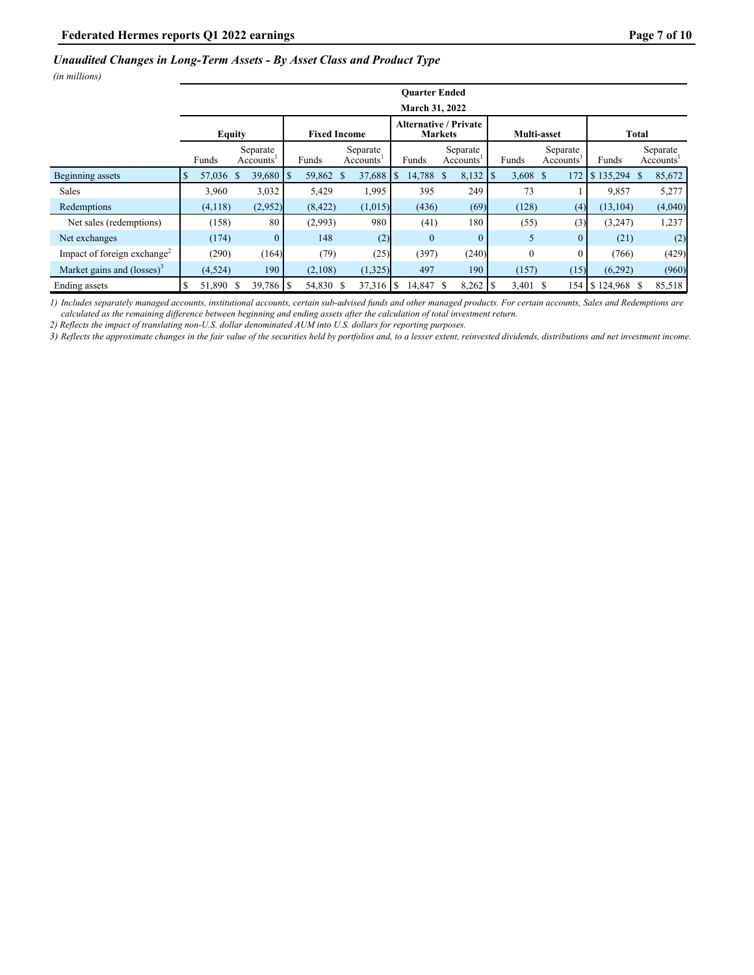## *Unaudited Changes in Long-Term Assets - By Asset Class and Product Type*

*(in millions)*

|                                         |               |           |  |                                   |  |           |  |                                                |    | <b>Ouarter Ended</b> |               |                       |  |          |  |                                   |                          |    |                                   |
|-----------------------------------------|---------------|-----------|--|-----------------------------------|--|-----------|--|------------------------------------------------|----|----------------------|---------------|-----------------------|--|----------|--|-----------------------------------|--------------------------|----|-----------------------------------|
|                                         |               |           |  |                                   |  |           |  |                                                |    | March 31, 2022       |               |                       |  |          |  |                                   |                          |    |                                   |
|                                         | <b>Equity</b> |           |  | <b>Fixed Income</b>               |  |           |  | <b>Alternative / Private</b><br><b>Markets</b> |    |                      |               | Multi-asset           |  |          |  | Total                             |                          |    |                                   |
|                                         |               | Funds     |  | Separate<br>Accounts <sup>'</sup> |  | Funds     |  | Separate<br>Accounts'                          |    | Funds                |               | Separate<br>Accounts' |  | Funds    |  | Separate<br>Accounts <sup>1</sup> | Funds <sup>-</sup>       |    | Separate<br>Accounts <sup>1</sup> |
| Beginning assets                        |               | 57,036 \$ |  | $39,680$ S                        |  | 59,862 \$ |  | 37,688                                         | -S | 14,788               | <sup>\$</sup> | $8,132$   \$          |  | 3,608 \$ |  | 172                               | $\frac{1}{2}$ \$ 135,294 | -S | 85,672                            |
| <b>Sales</b>                            |               | 3,960     |  | 3,032                             |  | 5,429     |  | 1,995                                          |    | 395                  |               | 249                   |  | 73       |  |                                   | 9,857                    |    | 5,277                             |
| Redemptions                             |               | (4,118)   |  | (2,952)                           |  | (8, 422)  |  | (1,015)                                        |    | (436)                |               | (69)                  |  | (128)    |  | (4)                               | (13, 104)                |    | (4,040)                           |
| Net sales (redemptions)                 |               | (158)     |  | 80                                |  | (2,993)   |  | 980                                            |    | (41)                 |               | 180                   |  | (55)     |  | (3)                               | (3,247)                  |    | 1,237                             |
| Net exchanges                           |               | (174)     |  | $\mathbf{0}$                      |  | 148       |  | (2)                                            |    | $\theta$             |               | $\mathbf{0}$          |  | 5        |  | $\overline{0}$                    | (21)                     |    | (2)                               |
| Impact of foreign exchange <sup>2</sup> |               | (290)     |  | (164)                             |  | (79)      |  | (25)                                           |    | (397)                |               | (240)                 |  | $\theta$ |  |                                   | (766)                    |    | (429)                             |
| Market gains and $(losses)^3$           |               | (4,524)   |  | 190                               |  | (2,108)   |  | (1,325)                                        |    | 497                  |               | 190                   |  | (157)    |  | (15)                              | (6.292)                  |    | (960)                             |
| Ending assets                           |               | 51,890 \$ |  | $39,786$ S                        |  | 54,830 \$ |  | $37,316$ S                                     |    | 14,847               |               | $8,262$ S             |  | 3,401 \$ |  | 154                               | $\frac{1}{2}$ 124,968    | -S | 85,518                            |

*1) Includes separately managed accounts, institutional accounts, certain sub-advised funds and other managed products. For certain accounts, Sales and Redemptions are calculated as the remaining difference between beginning and ending assets after the calculation of total investment return.*

*2) Reflects the impact of translating non-U.S. dollar denominated AUM into U.S. dollars for reporting purposes.*

*3) Reflects the approximate changes in the fair value of the securities held by portfolios and, to a lesser extent, reinvested dividends, distributions and net investment income.*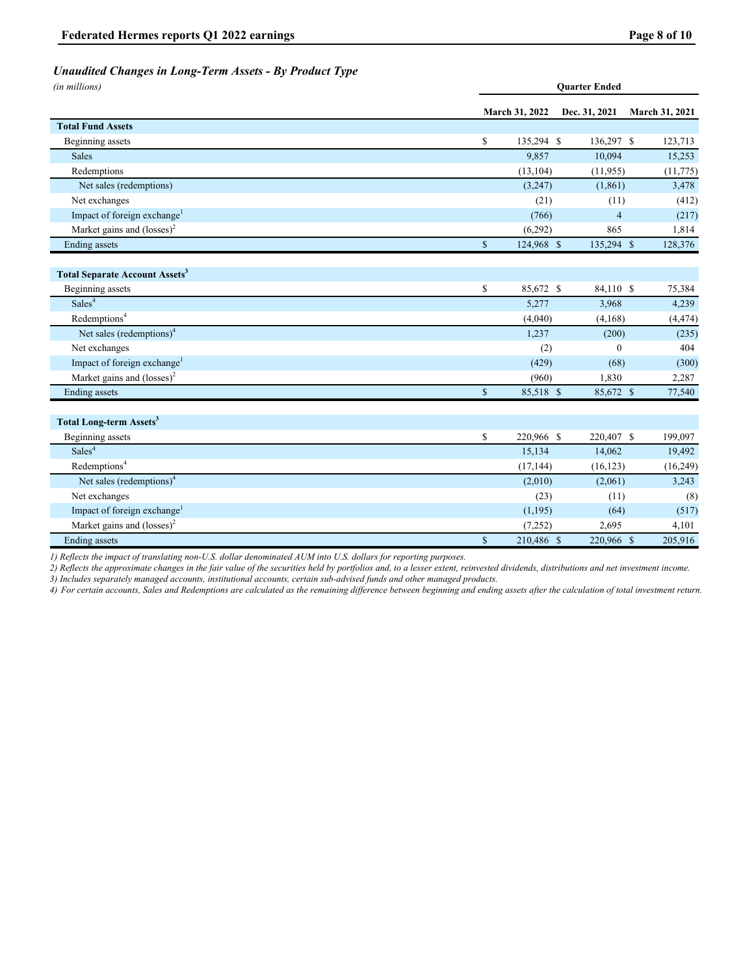# *Unaudited Changes in Long-Term Assets - By Product Type*

*(in millions)* **Quarter Ended**

|                                                  |             | March 31, 2022 | Dec. 31, 2021  | March 31, 2021 |
|--------------------------------------------------|-------------|----------------|----------------|----------------|
| <b>Total Fund Assets</b>                         |             |                |                |                |
| Beginning assets                                 | \$          | 135,294 \$     | 136,297 \$     | 123,713        |
| <b>Sales</b>                                     |             | 9,857          | 10,094         | 15,253         |
| Redemptions                                      |             | (13, 104)      | (11, 955)      | (11, 775)      |
| Net sales (redemptions)                          |             | (3,247)        | (1, 861)       | 3,478          |
| Net exchanges                                    |             | (21)           | (11)           | (412)          |
| Impact of foreign exchange <sup>1</sup>          |             | (766)          | $\overline{4}$ | (217)          |
| Market gains and $(\text{losses})^2$             |             | (6,292)        | 865            | 1,814          |
| <b>Ending</b> assets                             | $\mathbb S$ | $124,968$ \$   | 135,294 \$     | 128,376        |
| <b>Total Separate Account Assets<sup>3</sup></b> |             |                |                |                |
| Beginning assets                                 | \$          | 85,672 \$      | 84,110 \$      | 75,384         |
| Sales <sup>4</sup>                               |             | 5,277          | 3,968          | 4,239          |
| Redemptions <sup>4</sup>                         |             | (4,040)        | (4,168)        | (4, 474)       |
| Net sales (redemptions) <sup>4</sup>             |             | 1,237          | (200)          | (235)          |
| Net exchanges                                    |             | (2)            | $\mathbf{0}$   | 404            |
| Impact of foreign exchange <sup>1</sup>          |             | (429)          | (68)           | (300)          |
| Market gains and $(\text{losses})^2$             |             | (960)          | 1,830          | 2,287          |
| Ending assets                                    | $\mathbf S$ | 85,518 \$      | 85,672 \$      | 77,540         |
| <b>Total Long-term Assets<sup>3</sup></b>        |             |                |                |                |
| Beginning assets                                 | \$          | 220,966 \$     | 220,407 \$     | 199,097        |
| Sales <sup>4</sup>                               |             | 15,134         | 14,062         | 19,492         |
| $Red$ emptions <sup>4</sup>                      |             | (17, 144)      | (16, 123)      | (16, 249)      |
| Net sales (redemptions) <sup>4</sup>             |             | (2,010)        | (2,061)        | 3,243          |
| Net exchanges                                    |             | (23)           | (11)           | (8)            |
| Impact of foreign exchange <sup>1</sup>          |             | (1, 195)       | (64)           | (517)          |
| Market gains and $(\text{losses})^2$             |             | (7,252)        | 2,695          | 4,101          |
| <b>Ending</b> assets                             | $\mathbb S$ | 210,486 \$     | 220,966 \$     | 205,916        |

*1) Reflects the impact of translating non-U.S. dollar denominated AUM into U.S. dollars for reporting purposes.* 

*2) Reflects the approximate changes in the fair value of the securities held by portfolios and, to a lesser extent, reinvested dividends, distributions and net investment income. 3) Includes separately managed accounts, institutional accounts, certain sub-advised funds and other managed products.*

*4) For certain accounts, Sales and Redemptions are calculated as the remaining difference between beginning and ending assets after the calculation of total investment return.*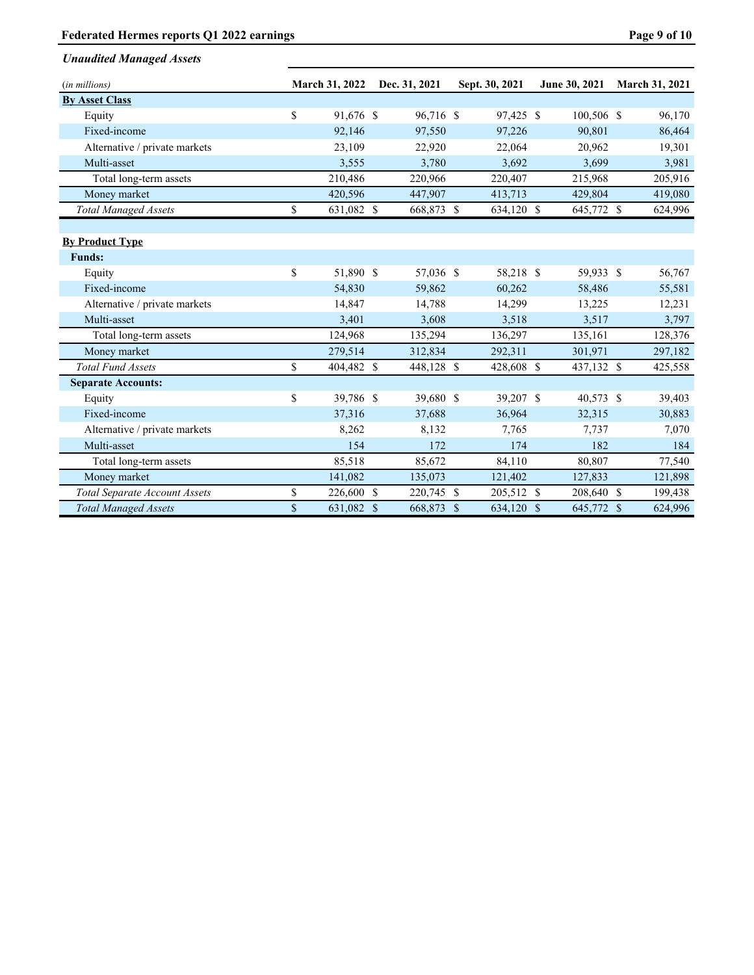# Federated Hermes reports Q1 2022 earnings **Page 9 of 10** Page 9 of 10

| (in millions)                        | <b>March 31, 2022</b> | Dec. 31, 2021 | Sept. 30, 2021 | June 30, 2021 | <b>March 31, 2021</b> |
|--------------------------------------|-----------------------|---------------|----------------|---------------|-----------------------|
| <b>By Asset Class</b>                |                       |               |                |               |                       |
| Equity                               | \$<br>91,676 \$       | 96,716 \$     | 97,425 \$      | 100,506 \$    | 96,170                |
| Fixed-income                         | 92,146                | 97,550        | 97,226         | 90,801        | 86,464                |
| Alternative / private markets        | 23,109                | 22,920        | 22,064         | 20,962        | 19,301                |
| Multi-asset                          | 3,555                 | 3,780         | 3,692          | 3,699         | 3,981                 |
| Total long-term assets               | 210,486               | 220,966       | 220,407        | 215,968       | 205,916               |
| Money market                         | 420,596               | 447,907       | 413,713        | 429,804       | 419,080               |
| <b>Total Managed Assets</b>          | \$<br>631,082 \$      | 668,873 \$    | 634,120 \$     | 645,772 \$    | 624,996               |
|                                      |                       |               |                |               |                       |
| <b>By Product Type</b>               |                       |               |                |               |                       |
| <b>Funds:</b>                        |                       |               |                |               |                       |
| Equity                               | \$<br>51,890 \$       | 57,036 \$     | 58,218 \$      | 59,933 \$     | 56,767                |
| Fixed-income                         | 54,830                | 59,862        | 60,262         | 58,486        | 55,581                |
| Alternative / private markets        | 14,847                | 14,788        | 14,299         | 13,225        | 12,231                |
| Multi-asset                          | 3,401                 | 3,608         | 3,518          | 3,517         | 3,797                 |
| Total long-term assets               | 124,968               | 135,294       | 136,297        | 135,161       | 128,376               |
| Money market                         | 279,514               | 312,834       | 292,311        | 301,971       | 297,182               |
| <b>Total Fund Assets</b>             | \$<br>404,482 \$      | 448,128 \$    | 428,608 \$     | 437,132 \$    | 425,558               |
| <b>Separate Accounts:</b>            |                       |               |                |               |                       |
| Equity                               | \$<br>39,786 \$       | 39,680 \$     | 39,207 \$      | 40,573 \$     | 39,403                |
| Fixed-income                         | 37,316                | 37,688        | 36,964         | 32,315        | 30,883                |
| Alternative / private markets        | 8,262                 | 8,132         | 7,765          | 7,737         | 7,070                 |
| Multi-asset                          | 154                   | 172           | 174            | 182           | 184                   |
| Total long-term assets               | 85,518                | 85,672        | 84,110         | 80,807        | 77,540                |
| Money market                         | 141,082               | 135,073       | 121,402        | 127,833       | 121,898               |
| <b>Total Separate Account Assets</b> | \$<br>226,600 \$      | 220,745 \$    | 205,512 \$     | 208,640 \$    | 199,438               |
| <b>Total Managed Assets</b>          | \$<br>631,082 \$      | 668,873 \$    | 634,120 \$     | 645,772 \$    | 624,996               |